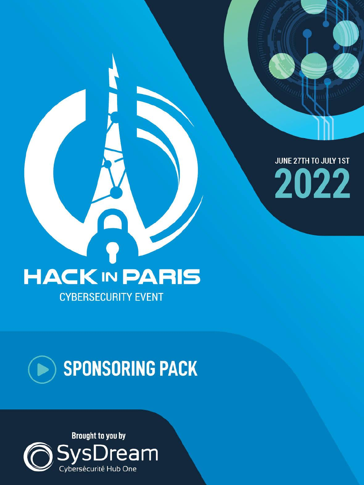JUNE 27TH TO JULY 1ST 2022

# **HACK IN PARIS**



### Brought to you by SysDream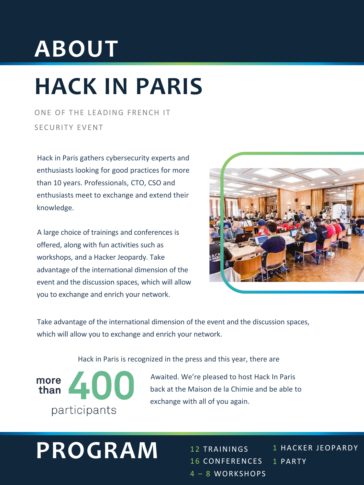Take advantage of the international dimension of the event and the discussion spaces, which will allow you to exchange and enrich your network.

Hack in Paris is recognized in the press and this year, there are



# **ABOUT**

# **HACK IN PARIS**

ONE OF THE LEADING FRENCH IT SECURITY EVENT

Hack in Paris gathers cybersecurity experts and enthusiasts looking for good practices for more than 10 years. Professionals, CTO, CSO and enthusiasts meet to exchange and extend their knowledge.

12 TRAININGS 16 CONFERENCES 4 – 8 WORKSHOPS **PROGRAM** 12 TRAININGS 1 HACKER JEOPARDY

A large choice of trainings and conferences is offered, along with fun activities such as workshops, and a Hacker Jeopardy. Take advantage of the international dimension of the event and the discussion spaces, which will allow you to exchange and enrich your network.



Awaited. We're pleased to host Hack In Paris back at the Maison de la Chimie and be able to exchange with all of you again.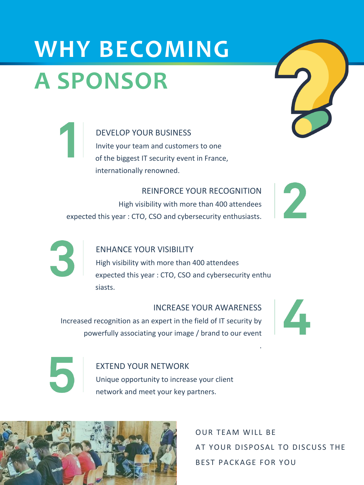# **WHY BECOMING A SPONSOR**

#### DEVELOP YOUR BUSINESS

Invite your team and customers to one of the biggest IT security event in France, internationally renowned.

#### REINFORCE YOUR RECOGNITION

High visibility with more than 400 attendees expected this year : CTO, CSO and cybersecurity enthusiasts.





#### ENHANCE YOUR VISIBILITY

High visibility with more than 400 attendees expected this year : CTO, CSO and cybersecurity enthu siasts.

#### INCREASE YOUR AWARENESS

Increased recognition as an expert in the field of IT security by powerfully associating your image / brand to our event





.

OUR TEAM WILL BE

AT YOUR DISPOSAL TO DISCUSS THE

BEST PACKAGE FOR YOU

#### EXTEND YOUR NETWORK

Unique opportunity to increase your client

network and meet your key partners.

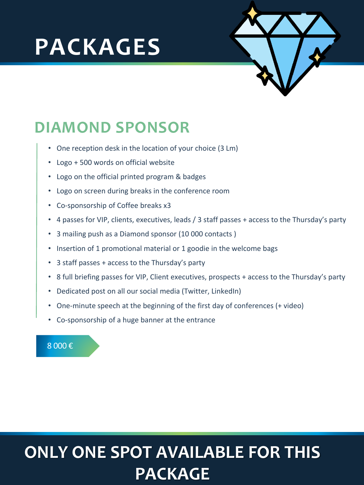### **PACKAGES**



### **DIAMOND SPONSOR**

8 000 €

- One reception desk in the location of your choice (3 Lm)
- Logo + 500 words on official website
- Logo on the official printed program & badges
- Logo on screen during breaks in the conference room
- Co-sponsorship of Coffee breaks x3
- 4 passes for VIP, clients, executives, leads / 3 staff passes + access to the Thursday's party
- 3 mailing push as a Diamond sponsor (10 000 contacts )
- Insertion of 1 promotional material or 1 goodie in the welcome bags
- 3 staff passes + access to the Thursday's party
- 8 full briefing passes for VIP, Client executives, prospects + access to the Thursday's party
- Dedicated post on all our social media (Twitter, LinkedIn)
- One-minute speech at the beginning of the first day of conferences (+ video)
- Co-sponsorship of a huge banner at the entrance

### **ONLY ONE SPOT AVAILABLE FOR THIS PACKAGE**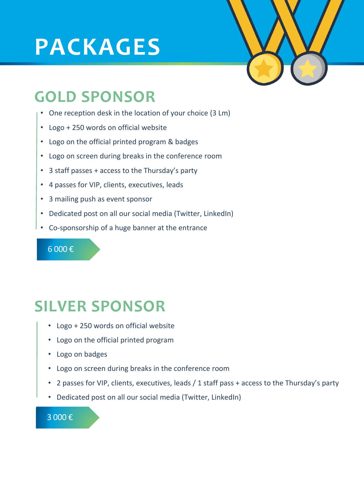### **PACKAGES**



### **GOLD SPONSOR**

#### 6 000 €

- One reception desk in the location of your choice (3 Lm)
- Logo + 250 words on official website
- Logo on the official printed program & badges
- Logo on screen during breaks in the conference room
- 3 staff passes + access to the Thursday's party
- 4 passes for VIP, clients, executives, leads
- 3 mailing push as event sponsor
- Dedicated post on all our social media (Twitter, LinkedIn)
- Co-sponsorship of a huge banner at the entrance

### **SILVER SPONSOR**

- Logo + 250 words on official website
- Logo on the official printed program
- Logo on badges
- Logo on screen during breaks in the conference room
- 2 passes for VIP, clients, executives, leads / 1 staff pass + access to the Thursday's party
- Dedicated post on all our social media (Twitter, LinkedIn)

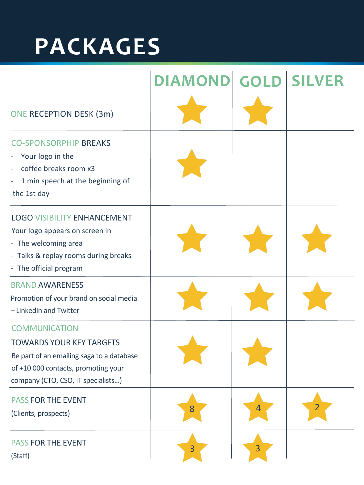## **PACKAGES**

|                                                                                                                                                                | DIAMOND GOLD SILVER |  |
|----------------------------------------------------------------------------------------------------------------------------------------------------------------|---------------------|--|
| ONE RECEPTION DESK (3m)                                                                                                                                        |                     |  |
| <b>CO-SPONSORPHIP BREAKS</b><br>- Your logo in the<br>coffee breaks room x3<br>1 min speech at the beginning of<br>the 1st day                                 |                     |  |
| <b>LOGO VISIBILITY ENHANCEMENT</b><br>Your logo appears on screen in<br>- The welcoming area<br>- Talks & replay rooms during breaks<br>- The official program |                     |  |
| <b>BRAND AWARENESS</b><br>Promotion of your brand on social media<br>- LinkedIn and Twitter                                                                    |                     |  |
| <b>COMMUNICATION</b><br>TOWARDS VOLIR KEY TARGETS                                                                                                              |                     |  |